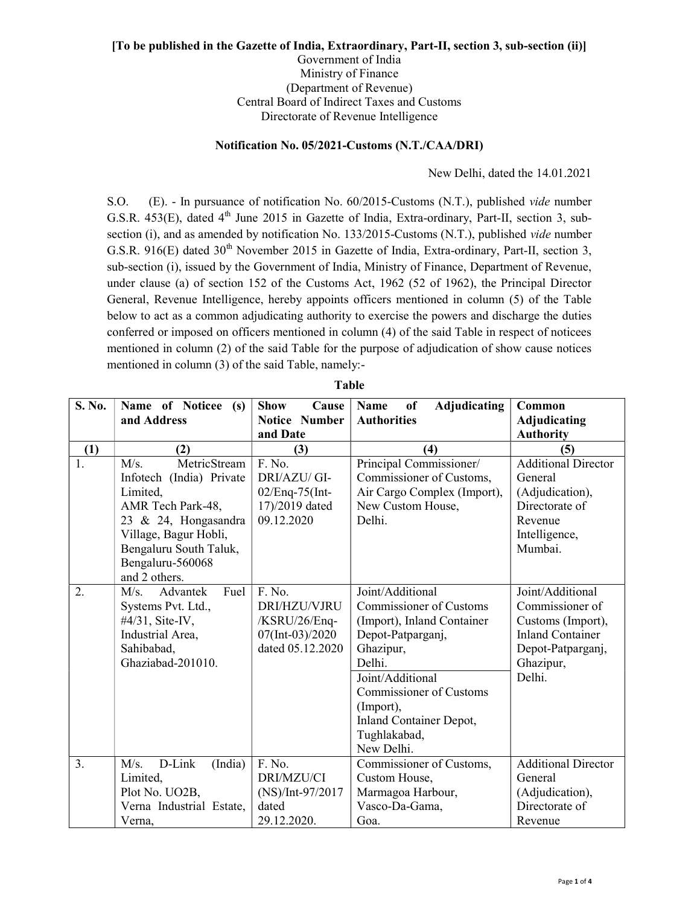## [To be published in the Gazette of India, Extraordinary, Part-II, section 3, sub-section (ii)]

Government of India Ministry of Finance (Department of Revenue) Central Board of Indirect Taxes and Customs Directorate of Revenue Intelligence

## Notification No. 05/2021-Customs (N.T./CAA/DRI)

New Delhi, dated the 14.01.2021

S.O. (E). - In pursuance of notification No. 60/2015-Customs (N.T.), published vide number G.S.R. 453(E), dated 4<sup>th</sup> June 2015 in Gazette of India, Extra-ordinary, Part-II, section 3, subsection (i), and as amended by notification No. 133/2015-Customs (N.T.), published vide number G.S.R. 916(E) dated  $30<sup>th</sup>$  November 2015 in Gazette of India, Extra-ordinary, Part-II, section 3, sub-section (i), issued by the Government of India, Ministry of Finance, Department of Revenue, under clause (a) of section 152 of the Customs Act, 1962 (52 of 1962), the Principal Director General, Revenue Intelligence, hereby appoints officers mentioned in column (5) of the Table below to act as a common adjudicating authority to exercise the powers and discharge the duties conferred or imposed on officers mentioned in column (4) of the said Table in respect of noticees mentioned in column (2) of the said Table for the purpose of adjudication of show cause notices mentioned in column (3) of the said Table, namely:-

| S. No. | Name of Noticee (s)       | <b>Show</b><br>Cause | <b>Adjudicating</b><br>Name<br>of | Common                     |
|--------|---------------------------|----------------------|-----------------------------------|----------------------------|
|        | and Address               | Notice Number        | <b>Authorities</b>                | <b>Adjudicating</b>        |
|        |                           | and Date             |                                   | <b>Authority</b>           |
| (1)    | (2)                       | (3)                  | (4)                               | (5)                        |
| 1.     | MetricStream<br>M/s.      | F. No.               | Principal Commissioner/           | <b>Additional Director</b> |
|        | Infotech (India) Private  | DRI/AZU/ GI-         | Commissioner of Customs,          | General                    |
|        | Limited,                  | 02/Enq-75(Int-       | Air Cargo Complex (Import),       | (Adjudication),            |
|        | AMR Tech Park-48,         | 17)/2019 dated       | New Custom House,                 | Directorate of             |
|        | 23 & 24, Hongasandra      | 09.12.2020           | Delhi.                            | Revenue                    |
|        | Village, Bagur Hobli,     |                      |                                   | Intelligence,              |
|        | Bengaluru South Taluk,    |                      |                                   | Mumbai.                    |
|        | Bengaluru-560068          |                      |                                   |                            |
|        | and 2 others.             |                      |                                   |                            |
| 2.     | Fuel<br>Advantek<br>M/s.  | F. No.               | Joint/Additional                  | Joint/Additional           |
|        | Systems Pvt. Ltd.,        | DRI/HZU/VJRU         | <b>Commissioner of Customs</b>    | Commissioner of            |
|        | #4/31, Site-IV,           | /KSRU/26/Enq-        | (Import), Inland Container        | Customs (Import),          |
|        | Industrial Area,          | 07(Int-03)/2020      | Depot-Patparganj,                 | <b>Inland Container</b>    |
|        | Sahibabad,                | dated 05.12.2020     | Ghazipur,                         | Depot-Patparganj,          |
|        | Ghaziabad-201010.         |                      | Delhi.                            | Ghazipur,                  |
|        |                           |                      | Joint/Additional                  | Delhi.                     |
|        |                           |                      | Commissioner of Customs           |                            |
|        |                           |                      | (Import),                         |                            |
|        |                           |                      | Inland Container Depot,           |                            |
|        |                           |                      | Tughlakabad,                      |                            |
|        |                           |                      | New Delhi.                        |                            |
| 3.     | D-Link<br>(India)<br>M/s. | F. No.               | Commissioner of Customs,          | <b>Additional Director</b> |
|        | Limited,                  | DRI/MZU/CI           | Custom House,                     | General                    |
|        | Plot No. UO2B,            | (NS)/Int-97/2017     | Marmagoa Harbour,                 | (Adjudication),            |
|        | Verna Industrial Estate,  | dated                | Vasco-Da-Gama,                    | Directorate of             |
|        | Verna,                    | 29.12.2020.          | Goa.                              | Revenue                    |

Table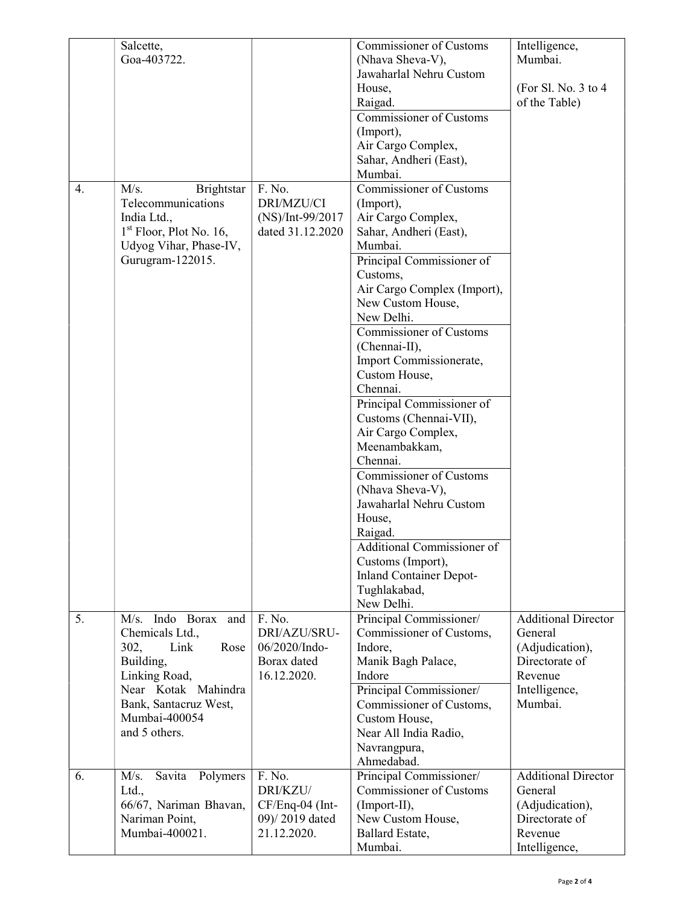|    | Salcette,<br>Goa-403722.                                                                                                                                                       |                                                                        | Commissioner of Customs<br>(Nhava Sheva-V),                                                                                                                                                                                                                                                                                                                                                                                                                                                                                                                                                                                                                                | Intelligence,<br>Mumbai.                                                                                          |
|----|--------------------------------------------------------------------------------------------------------------------------------------------------------------------------------|------------------------------------------------------------------------|----------------------------------------------------------------------------------------------------------------------------------------------------------------------------------------------------------------------------------------------------------------------------------------------------------------------------------------------------------------------------------------------------------------------------------------------------------------------------------------------------------------------------------------------------------------------------------------------------------------------------------------------------------------------------|-------------------------------------------------------------------------------------------------------------------|
|    |                                                                                                                                                                                |                                                                        | Jawaharlal Nehru Custom<br>House,<br>Raigad.                                                                                                                                                                                                                                                                                                                                                                                                                                                                                                                                                                                                                               | (For Sl. No. 3 to 4<br>of the Table)                                                                              |
|    |                                                                                                                                                                                |                                                                        | Commissioner of Customs<br>(Import),<br>Air Cargo Complex,<br>Sahar, Andheri (East),                                                                                                                                                                                                                                                                                                                                                                                                                                                                                                                                                                                       |                                                                                                                   |
| 4. | M/s.<br>Brightstar<br>Telecommunications<br>India Ltd.,<br>$1st$ Floor, Plot No. 16,<br>Udyog Vihar, Phase-IV,<br>Gurugram-122015.                                             | F. No.<br>DRI/MZU/CI<br>(NS)/Int-99/2017<br>dated 31.12.2020           | Mumbai.<br><b>Commissioner of Customs</b><br>(Import),<br>Air Cargo Complex,<br>Sahar, Andheri (East),<br>Mumbai.<br>Principal Commissioner of<br>Customs,<br>Air Cargo Complex (Import),<br>New Custom House,<br>New Delhi.<br><b>Commissioner of Customs</b><br>(Chennai-II),<br>Import Commissionerate,<br>Custom House,<br>Chennai.<br>Principal Commissioner of<br>Customs (Chennai-VII),<br>Air Cargo Complex,<br>Meenambakkam,<br>Chennai.<br><b>Commissioner of Customs</b><br>(Nhava Sheva-V),<br>Jawaharlal Nehru Custom<br>House,<br>Raigad.<br>Additional Commissioner of<br>Customs (Import),<br><b>Inland Container Depot-</b><br>Tughlakabad,<br>New Delhi. |                                                                                                                   |
| 5. | M/s. Indo Borax and<br>Chemicals Ltd.,<br>302,<br>Link<br>Rose<br>Building,<br>Linking Road,<br>Near Kotak Mahindra<br>Bank, Santacruz West,<br>Mumbai-400054<br>and 5 others. | F. No.<br>DRI/AZU/SRU-<br>06/2020/Indo-<br>Borax dated<br>16.12.2020.  | Principal Commissioner/<br>Commissioner of Customs,<br>Indore,<br>Manik Bagh Palace,<br>Indore<br>Principal Commissioner/<br>Commissioner of Customs,<br>Custom House,<br>Near All India Radio,<br>Navrangpura,                                                                                                                                                                                                                                                                                                                                                                                                                                                            | <b>Additional Director</b><br>General<br>(Adjudication),<br>Directorate of<br>Revenue<br>Intelligence,<br>Mumbai. |
| 6. | Polymers<br>M/s.<br>Savita<br>Ltd.,<br>66/67, Nariman Bhavan,<br>Nariman Point,<br>Mumbai-400021.                                                                              | F. No.<br>DRI/KZU/<br>CF/Enq-04 (Int-<br>09)/2019 dated<br>21.12.2020. | Ahmedabad.<br>Principal Commissioner/<br><b>Commissioner of Customs</b><br>(Import-II),<br>New Custom House,<br>Ballard Estate,<br>Mumbai.                                                                                                                                                                                                                                                                                                                                                                                                                                                                                                                                 | <b>Additional Director</b><br>General<br>(Adjudication),<br>Directorate of<br>Revenue<br>Intelligence,            |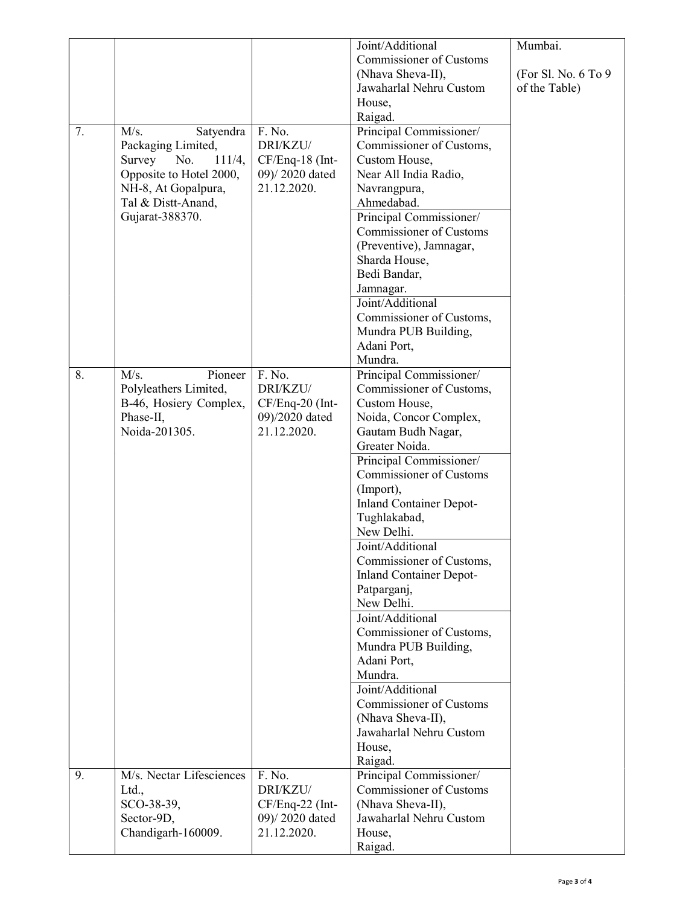|    |                                                                                                                                                               |                                                                        | Joint/Additional<br><b>Commissioner of Customs</b><br>(Nhava Sheva-II),<br>Jawaharlal Nehru Custom<br>House,<br>Raigad.                                                                                                                                                                                                                                                                                                                                                                                                                                                                                               | Mumbai.<br>(For Sl. No. 6 To 9<br>of the Table) |
|----|---------------------------------------------------------------------------------------------------------------------------------------------------------------|------------------------------------------------------------------------|-----------------------------------------------------------------------------------------------------------------------------------------------------------------------------------------------------------------------------------------------------------------------------------------------------------------------------------------------------------------------------------------------------------------------------------------------------------------------------------------------------------------------------------------------------------------------------------------------------------------------|-------------------------------------------------|
| 7. | M/s.<br>Satyendra<br>Packaging Limited,<br>Survey<br>No.<br>111/4,<br>Opposite to Hotel 2000,<br>NH-8, At Gopalpura,<br>Tal & Distt-Anand,<br>Gujarat-388370. | F. No.<br>DRI/KZU/<br>CF/Enq-18 (Int-<br>09)/2020 dated<br>21.12.2020. | Principal Commissioner/<br>Commissioner of Customs,<br>Custom House,<br>Near All India Radio,<br>Navrangpura,<br>Ahmedabad.<br>Principal Commissioner/<br><b>Commissioner of Customs</b><br>(Preventive), Jamnagar,<br>Sharda House,<br>Bedi Bandar,<br>Jamnagar.<br>Joint/Additional<br>Commissioner of Customs,<br>Mundra PUB Building,<br>Adani Port,<br>Mundra.                                                                                                                                                                                                                                                   |                                                 |
| 8. | M/s.<br>Pioneer<br>Polyleathers Limited,<br>B-46, Hosiery Complex,<br>Phase-II,<br>Noida-201305.                                                              | F. No.<br>DRI/KZU/<br>CF/Enq-20 (Int-<br>09)/2020 dated<br>21.12.2020. | Principal Commissioner/<br>Commissioner of Customs,<br>Custom House,<br>Noida, Concor Complex,<br>Gautam Budh Nagar,<br>Greater Noida.<br>Principal Commissioner/<br><b>Commissioner of Customs</b><br>(Import),<br><b>Inland Container Depot-</b><br>Tughlakabad,<br>New Delhi.<br>Joint/Additional<br>Commissioner of Customs,<br><b>Inland Container Depot-</b><br>Patparganj,<br>New Delhi.<br>Joint/Additional<br>Commissioner of Customs,<br>Mundra PUB Building,<br>Adani Port,<br>Mundra.<br>Joint/Additional<br>Commissioner of Customs<br>(Nhava Sheva-II),<br>Jawaharlal Nehru Custom<br>House,<br>Raigad. |                                                 |
| 9. | M/s. Nectar Lifesciences<br>Ltd.,<br>SCO-38-39,<br>Sector-9D,<br>Chandigarh-160009.                                                                           | F. No.<br>DRI/KZU/<br>CF/Enq-22 (Int-<br>09)/2020 dated<br>21.12.2020. | Principal Commissioner/<br><b>Commissioner of Customs</b><br>(Nhava Sheva-II),<br>Jawaharlal Nehru Custom<br>House,<br>Raigad.                                                                                                                                                                                                                                                                                                                                                                                                                                                                                        |                                                 |